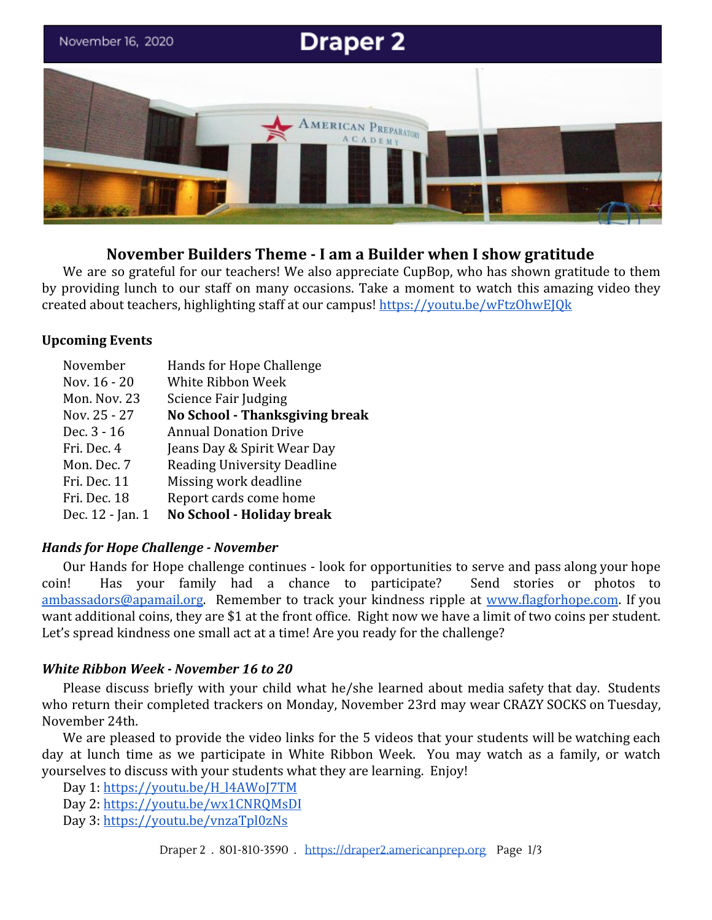

# **November Builders Theme - I am a Builder when I show gratitude**

We are so grateful for our teachers! We also appreciate CupBop, who has shown gratitude to them by providing lunch to our staff on many occasions. Take a moment to watch this amazing video they created about teachers, highlighting staff at our campus! <https://youtu.be/wFtzOhwEJQk>

# **Upcoming Events**

| November         | Hands for Hope Challenge              |
|------------------|---------------------------------------|
| Nov. 16 - 20     | White Ribbon Week                     |
| Mon. Nov. 23     | Science Fair Judging                  |
| Nov. 25 - 27     | <b>No School - Thanksgiving break</b> |
| Dec. 3 - 16      | <b>Annual Donation Drive</b>          |
| Fri. Dec. 4      | Jeans Day & Spirit Wear Day           |
| Mon. Dec. 7      | <b>Reading University Deadline</b>    |
| Fri. Dec. 11     | Missing work deadline                 |
| Fri. Dec. 18     | Report cards come home                |
| Dec. 12 - Jan. 1 | No School - Holiday break             |

# *Hands for Hope Challenge - November*

Our Hands for Hope challenge continues - look for opportunities to serve and pass along your hope coin! Has your family had a chance to participate? Send stories or photos to [ambassadors@apamail.org.](mailto:ambassadors@apamail.org) Remember to track your kindness ripple at [www.flagforhope.com](http://www.flagforhope.com/). If you want additional coins, they are \$1 at the front office. Right now we have a limit of two coins per student. Let's spread kindness one small act at a time! Are you ready for the challenge?

# *White Ribbon Week - November 16 to 20*

Please discuss briefly with your child what he/she learned about media safety that day. Students who return their completed trackers on Monday, November 23rd may wear CRAZY SOCKS on Tuesday, November 24th.

We are pleased to provide the video links for the 5 videos that your students will be watching each day at lunch time as we participate in White Ribbon Week. You may watch as a family, or watch yourselves to discuss with your students what they are learning. Enjoy!

Day 1: [https://youtu.be/H\\_l4AWoJ7TM](https://youtu.be/H_l4AWoJ7TM) Day 2: <https://youtu.be/wx1CNRQMsDI> Day 3: <https://youtu.be/vnzaTpl0zNs>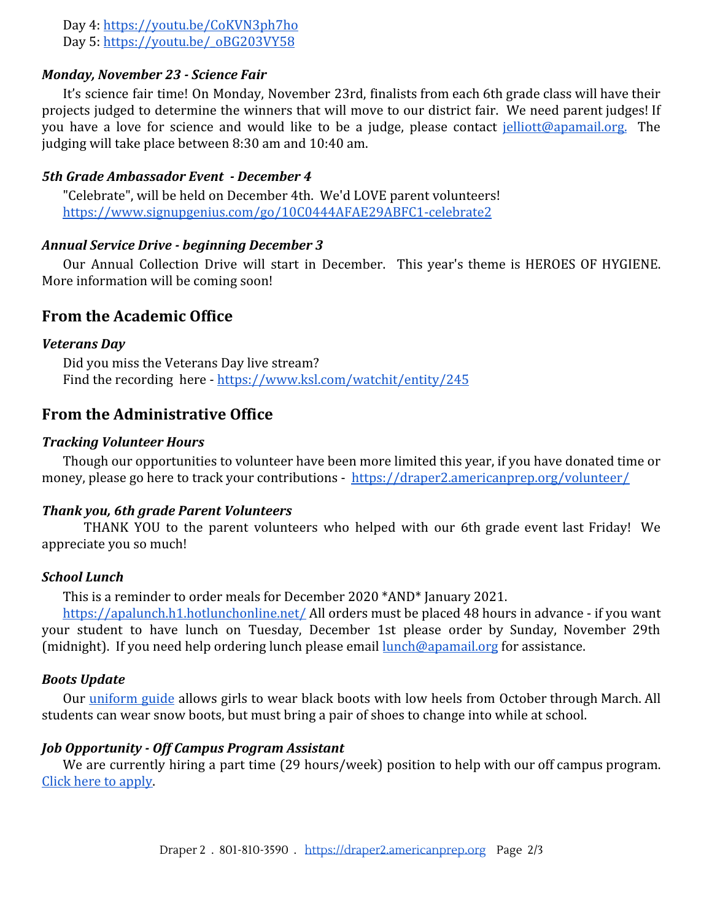Day 4: <https://youtu.be/CoKVN3ph7ho> Day 5: [https://youtu.be/\\_oBG203VY58](https://youtu.be/_oBG203VY58)

# *Monday, November 23 - Science Fair*

It's science fair time! On Monday, November 23rd, finalists from each 6th grade class will have their projects judged to determine the winners that will move to our district fair. We need parent judges! If you have a love for science and would like to be a judge, please contact [jelliott@apamail.org.](mailto:jelliott@apamail.org) The judging will take place between 8:30 am and 10:40 am.

### *5th Grade Ambassador Event - December 4*

"Celebrate", will be held on December 4th. We'd LOVE parent volunteers! <https://www.signupgenius.com/go/10C0444AFAE29ABFC1-celebrate2>

### *Annual Service Drive - beginning December 3*

Our Annual Collection Drive will start in December. This year's theme is HEROES OF HYGIENE. More information will be coming soon!

# **From the Academic Office**

### *Veterans Day*

Did you miss the Veterans Day live stream? Find the recording here - <https://www.ksl.com/watchit/entity/245>

# **From the Administrative Office**

#### *Tracking Volunteer Hours*

Though our opportunities to volunteer have been more limited this year, if you have donated time or money, please go here to track your contributions - <https://draper2.americanprep.org/volunteer/>

### *Thank you, 6th grade Parent Volunteers*

THANK YOU to the parent volunteers who helped with our 6th grade event last Friday! We appreciate you so much!

#### *School Lunch*

This is a reminder to order meals for December 2020 \*AND\* January 2021.

<https://apalunch.h1.hotlunchonline.net/> All orders must be placed 48 hours in advance - if you want your student to have lunch on Tuesday, December 1st please order by Sunday, November 29th (midnight). If you need help ordering lunch please email [lunch@apamail.org](mailto:lunch@apamail.org) for assistance.

## *Boots Update*

Our [uniform](https://www.americanprep.org/wp-content/uploads/2019/06/Draper-1-Draper-2-West-Valley-1-.pdf) guide allows girls to wear black boots with low heels from October through March. All students can wear snow boots, but must bring a pair of shoes to change into while at school.

#### *Job Opportunity - Off Campus Program Assistant*

We are currently hiring a part time (29 hours/week) position to help with our off campus program. [Click here to apply](https://recruitingbypaycor.com/career/JobIntroduction.action?clientId=8a78826753d0044a0153d2e566b2004b&id=8a7883a975953d400175afa165c946c4&source=&lang=en).